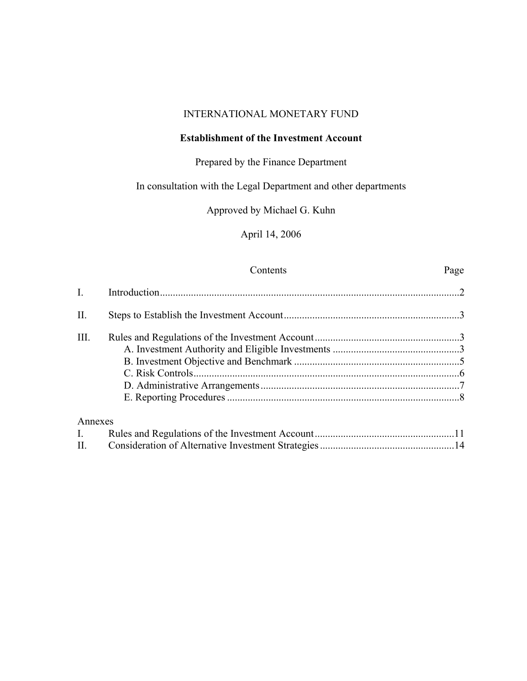### INTERNATIONAL MONETARY FUND

### **Establishment of the Investment Account**

# Prepared by the Finance Department

# In consultation with the Legal Department and other departments

Approved by Michael G. Kuhn

April 14, 2006

#### Contents Page

| $\mathbf{I}$ . |  |
|----------------|--|
| П.             |  |
| Ш.             |  |
|                |  |
|                |  |
|                |  |
|                |  |
|                |  |
| Annexes        |  |
| $\mathbf{I}$ . |  |
| П.             |  |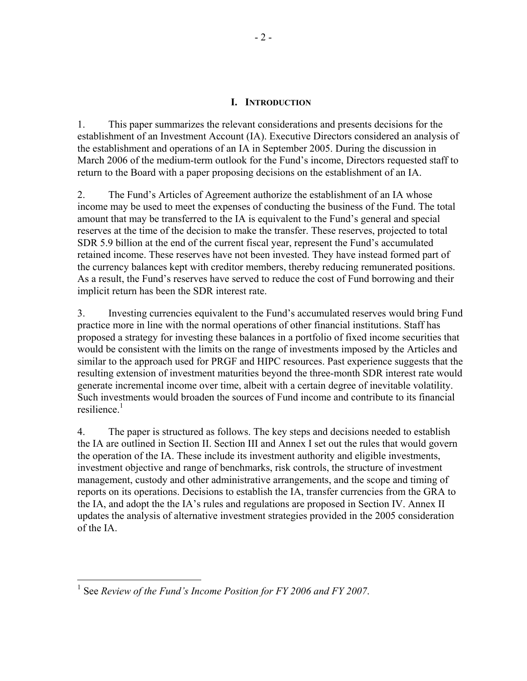### **I. INTRODUCTION**

1. This paper summarizes the relevant considerations and presents decisions for the establishment of an Investment Account (IA). Executive Directors considered an analysis of the establishment and operations of an IA in September 2005. During the discussion in March 2006 of the medium-term outlook for the Fund's income, Directors requested staff to return to the Board with a paper proposing decisions on the establishment of an IA.

2. The Fund's Articles of Agreement authorize the establishment of an IA whose income may be used to meet the expenses of conducting the business of the Fund. The total amount that may be transferred to the IA is equivalent to the Fund's general and special reserves at the time of the decision to make the transfer. These reserves, projected to total SDR 5.9 billion at the end of the current fiscal year, represent the Fund's accumulated retained income. These reserves have not been invested. They have instead formed part of the currency balances kept with creditor members, thereby reducing remunerated positions. As a result, the Fund's reserves have served to reduce the cost of Fund borrowing and their implicit return has been the SDR interest rate.

3. Investing currencies equivalent to the Fund's accumulated reserves would bring Fund practice more in line with the normal operations of other financial institutions. Staff has proposed a strategy for investing these balances in a portfolio of fixed income securities that would be consistent with the limits on the range of investments imposed by the Articles and similar to the approach used for PRGF and HIPC resources. Past experience suggests that the resulting extension of investment maturities beyond the three-month SDR interest rate would generate incremental income over time, albeit with a certain degree of inevitable volatility. Such investments would broaden the sources of Fund income and contribute to its financial resilience $1$ 

4. The paper is structured as follows. The key steps and decisions needed to establish the IA are outlined in Section II. Section III and Annex I set out the rules that would govern the operation of the IA. These include its investment authority and eligible investments, investment objective and range of benchmarks, risk controls, the structure of investment management, custody and other administrative arrangements, and the scope and timing of reports on its operations. Decisions to establish the IA, transfer currencies from the GRA to the IA, and adopt the the IA's rules and regulations are proposed in Section IV. Annex II updates the analysis of alternative investment strategies provided in the 2005 consideration of the IA.

 $\overline{a}$ 

<sup>1</sup> See *Review of the Fund's Income Position for FY 2006 and FY 2007*.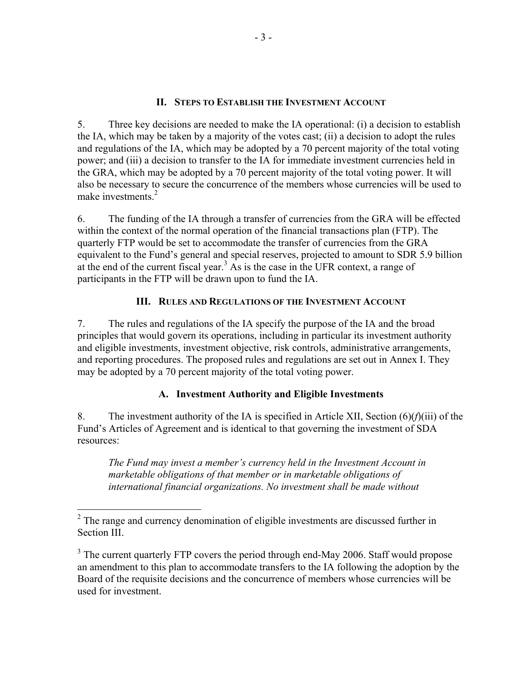### **II. STEPS TO ESTABLISH THE INVESTMENT ACCOUNT**

5. Three key decisions are needed to make the IA operational: (i) a decision to establish the IA, which may be taken by a majority of the votes cast; (ii) a decision to adopt the rules and regulations of the IA, which may be adopted by a 70 percent majority of the total voting power; and (iii) a decision to transfer to the IA for immediate investment currencies held in the GRA, which may be adopted by a 70 percent majority of the total voting power. It will also be necessary to secure the concurrence of the members whose currencies will be used to make investments.<sup>2</sup>

6. The funding of the IA through a transfer of currencies from the GRA will be effected within the context of the normal operation of the financial transactions plan (FTP). The quarterly FTP would be set to accommodate the transfer of currencies from the GRA equivalent to the Fund's general and special reserves, projected to amount to SDR 5.9 billion at the end of the current fiscal year.<sup>3</sup> As is the case in the UFR context, a range of participants in the FTP will be drawn upon to fund the IA.

# **III. RULES AND REGULATIONS OF THE INVESTMENT ACCOUNT**

7. The rules and regulations of the IA specify the purpose of the IA and the broad principles that would govern its operations, including in particular its investment authority and eligible investments, investment objective, risk controls, administrative arrangements, and reporting procedures. The proposed rules and regulations are set out in Annex I. They may be adopted by a 70 percent majority of the total voting power.

# **A. Investment Authority and Eligible Investments**

8. The investment authority of the IA is specified in Article XII, Section (6)(*f*)(iii) of the Fund's Articles of Agreement and is identical to that governing the investment of SDA resources:

*The Fund may invest a member's currency held in the Investment Account in marketable obligations of that member or in marketable obligations of international financial organizations. No investment shall be made without* 

<sup>&</sup>lt;sup>2</sup> The range and currency denomination of eligible investments are discussed further in Section III.

 $3$  The current quarterly FTP covers the period through end-May 2006. Staff would propose an amendment to this plan to accommodate transfers to the IA following the adoption by the Board of the requisite decisions and the concurrence of members whose currencies will be used for investment.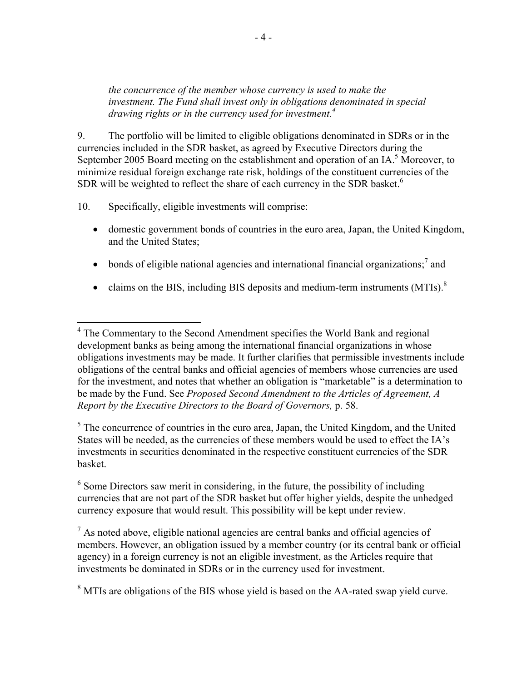*the concurrence of the member whose currency is used to make the investment. The Fund shall invest only in obligations denominated in special drawing rights or in the currency used for investment.<sup>4</sup>*

9. The portfolio will be limited to eligible obligations denominated in SDRs or in the currencies included in the SDR basket, as agreed by Executive Directors during the September 2005 Board meeting on the establishment and operation of an IA.<sup>5</sup> Moreover, to minimize residual foreign exchange rate risk, holdings of the constituent currencies of the SDR will be weighted to reflect the share of each currency in the SDR basket.<sup>6</sup>

10. Specifically, eligible investments will comprise:

- domestic government bonds of countries in the euro area, Japan, the United Kingdom, and the United States;
- bonds of eligible national agencies and international financial organizations;<sup>7</sup> and
- claims on the BIS, including BIS deposits and medium-term instruments  $(MTIs)<sup>8</sup>$

<sup>5</sup> The concurrence of countries in the euro area, Japan, the United Kingdom, and the United States will be needed, as the currencies of these members would be used to effect the IA's investments in securities denominated in the respective constituent currencies of the SDR basket.

 $6$  Some Directors saw merit in considering, in the future, the possibility of including currencies that are not part of the SDR basket but offer higher yields, despite the unhedged currency exposure that would result. This possibility will be kept under review.

 $<sup>7</sup>$  As noted above, eligible national agencies are central banks and official agencies of</sup> members. However, an obligation issued by a member country (or its central bank or official agency) in a foreign currency is not an eligible investment, as the Articles require that investments be dominated in SDRs or in the currency used for investment.

 $8$  MTIs are obligations of the BIS whose yield is based on the AA-rated swap yield curve.

<sup>&</sup>lt;sup>4</sup> The Commentary to the Second Amendment specifies the World Bank and regional development banks as being among the international financial organizations in whose obligations investments may be made. It further clarifies that permissible investments include obligations of the central banks and official agencies of members whose currencies are used for the investment, and notes that whether an obligation is "marketable" is a determination to be made by the Fund. See *Proposed Second Amendment to the Articles of Agreement, A Report by the Executive Directors to the Board of Governors,* p. 58.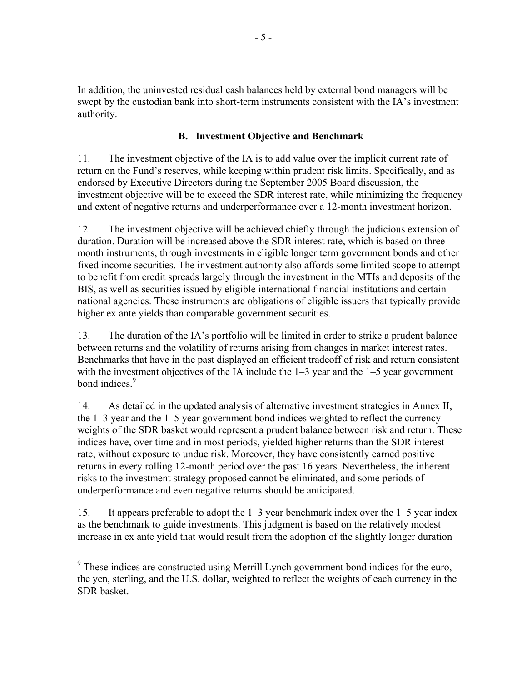In addition, the uninvested residual cash balances held by external bond managers will be swept by the custodian bank into short-term instruments consistent with the IA's investment authority.

# **B. Investment Objective and Benchmark**

11. The investment objective of the IA is to add value over the implicit current rate of return on the Fund's reserves, while keeping within prudent risk limits. Specifically, and as endorsed by Executive Directors during the September 2005 Board discussion, the investment objective will be to exceed the SDR interest rate, while minimizing the frequency and extent of negative returns and underperformance over a 12-month investment horizon.

12. The investment objective will be achieved chiefly through the judicious extension of duration. Duration will be increased above the SDR interest rate, which is based on threemonth instruments, through investments in eligible longer term government bonds and other fixed income securities. The investment authority also affords some limited scope to attempt to benefit from credit spreads largely through the investment in the MTIs and deposits of the BIS, as well as securities issued by eligible international financial institutions and certain national agencies. These instruments are obligations of eligible issuers that typically provide higher ex ante yields than comparable government securities.

13. The duration of the IA's portfolio will be limited in order to strike a prudent balance between returns and the volatility of returns arising from changes in market interest rates. Benchmarks that have in the past displayed an efficient tradeoff of risk and return consistent with the investment objectives of the IA include the 1–3 year and the 1–5 year government bond indices.<sup>9</sup>

14. As detailed in the updated analysis of alternative investment strategies in Annex II, the 1–3 year and the 1–5 year government bond indices weighted to reflect the currency weights of the SDR basket would represent a prudent balance between risk and return. These indices have, over time and in most periods, yielded higher returns than the SDR interest rate, without exposure to undue risk. Moreover, they have consistently earned positive returns in every rolling 12-month period over the past 16 years. Nevertheless, the inherent risks to the investment strategy proposed cannot be eliminated, and some periods of underperformance and even negative returns should be anticipated.

15. It appears preferable to adopt the 1–3 year benchmark index over the 1–5 year index as the benchmark to guide investments. This judgment is based on the relatively modest increase in ex ante yield that would result from the adoption of the slightly longer duration

 $\overline{a}$ 

<sup>&</sup>lt;sup>9</sup> These indices are constructed using Merrill Lynch government bond indices for the euro, the yen, sterling, and the U.S. dollar, weighted to reflect the weights of each currency in the SDR basket.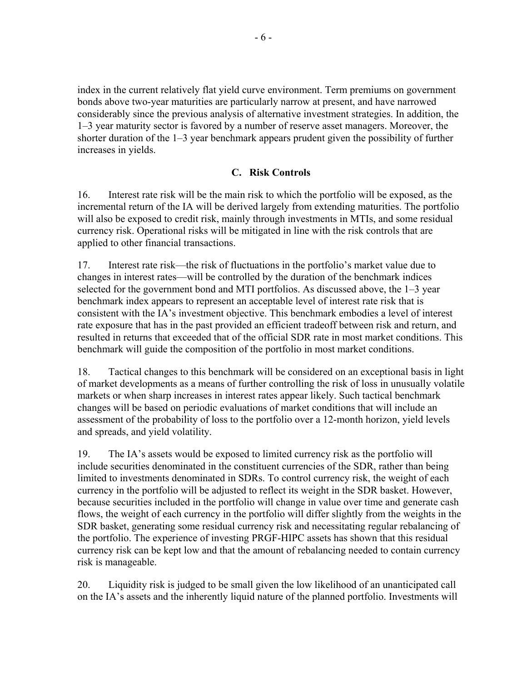index in the current relatively flat yield curve environment. Term premiums on government bonds above two-year maturities are particularly narrow at present, and have narrowed considerably since the previous analysis of alternative investment strategies. In addition, the 1–3 year maturity sector is favored by a number of reserve asset managers. Moreover, the shorter duration of the 1–3 year benchmark appears prudent given the possibility of further increases in yields.

### **C. Risk Controls**

16. Interest rate risk will be the main risk to which the portfolio will be exposed, as the incremental return of the IA will be derived largely from extending maturities. The portfolio will also be exposed to credit risk, mainly through investments in MTIs, and some residual currency risk. Operational risks will be mitigated in line with the risk controls that are applied to other financial transactions.

17. Interest rate risk—the risk of fluctuations in the portfolio's market value due to changes in interest rates—will be controlled by the duration of the benchmark indices selected for the government bond and MTI portfolios. As discussed above, the 1–3 year benchmark index appears to represent an acceptable level of interest rate risk that is consistent with the IA's investment objective. This benchmark embodies a level of interest rate exposure that has in the past provided an efficient tradeoff between risk and return, and resulted in returns that exceeded that of the official SDR rate in most market conditions. This benchmark will guide the composition of the portfolio in most market conditions.

18. Tactical changes to this benchmark will be considered on an exceptional basis in light of market developments as a means of further controlling the risk of loss in unusually volatile markets or when sharp increases in interest rates appear likely. Such tactical benchmark changes will be based on periodic evaluations of market conditions that will include an assessment of the probability of loss to the portfolio over a 12-month horizon, yield levels and spreads, and yield volatility.

19. The IA's assets would be exposed to limited currency risk as the portfolio will include securities denominated in the constituent currencies of the SDR, rather than being limited to investments denominated in SDRs. To control currency risk, the weight of each currency in the portfolio will be adjusted to reflect its weight in the SDR basket. However, because securities included in the portfolio will change in value over time and generate cash flows, the weight of each currency in the portfolio will differ slightly from the weights in the SDR basket, generating some residual currency risk and necessitating regular rebalancing of the portfolio. The experience of investing PRGF-HIPC assets has shown that this residual currency risk can be kept low and that the amount of rebalancing needed to contain currency risk is manageable.

20. Liquidity risk is judged to be small given the low likelihood of an unanticipated call on the IA's assets and the inherently liquid nature of the planned portfolio. Investments will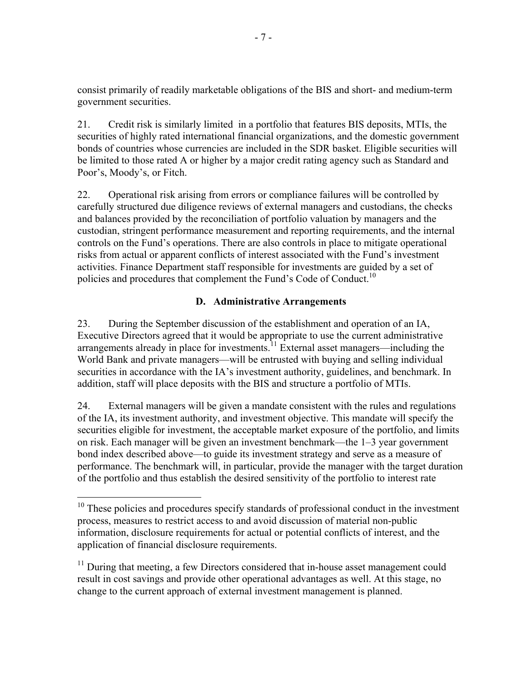consist primarily of readily marketable obligations of the BIS and short- and medium-term government securities.

21. Credit risk is similarly limited in a portfolio that features BIS deposits, MTIs, the securities of highly rated international financial organizations, and the domestic government bonds of countries whose currencies are included in the SDR basket. Eligible securities will be limited to those rated A or higher by a major credit rating agency such as Standard and Poor's, Moody's, or Fitch.

22. Operational risk arising from errors or compliance failures will be controlled by carefully structured due diligence reviews of external managers and custodians, the checks and balances provided by the reconciliation of portfolio valuation by managers and the custodian, stringent performance measurement and reporting requirements, and the internal controls on the Fund's operations. There are also controls in place to mitigate operational risks from actual or apparent conflicts of interest associated with the Fund's investment activities. Finance Department staff responsible for investments are guided by a set of policies and procedures that complement the Fund's Code of Conduct.<sup>10</sup>

# **D. Administrative Arrangements**

23. During the September discussion of the establishment and operation of an IA, Executive Directors agreed that it would be appropriate to use the current administrative arrangements already in place for investments.<sup>11</sup> External asset managers—including the World Bank and private managers—will be entrusted with buying and selling individual securities in accordance with the IA's investment authority, guidelines, and benchmark. In addition, staff will place deposits with the BIS and structure a portfolio of MTIs.

24. External managers will be given a mandate consistent with the rules and regulations of the IA, its investment authority, and investment objective. This mandate will specify the securities eligible for investment, the acceptable market exposure of the portfolio, and limits on risk. Each manager will be given an investment benchmark—the 1–3 year government bond index described above—to guide its investment strategy and serve as a measure of performance. The benchmark will, in particular, provide the manager with the target duration of the portfolio and thus establish the desired sensitivity of the portfolio to interest rate

 $\overline{a}$ 

 $10$  These policies and procedures specify standards of professional conduct in the investment process, measures to restrict access to and avoid discussion of material non-public information, disclosure requirements for actual or potential conflicts of interest, and the application of financial disclosure requirements.

 $11$  During that meeting, a few Directors considered that in-house asset management could result in cost savings and provide other operational advantages as well. At this stage, no change to the current approach of external investment management is planned.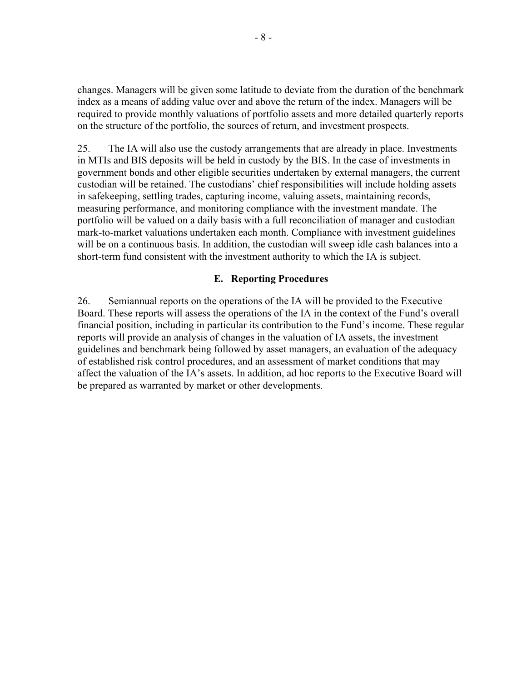changes. Managers will be given some latitude to deviate from the duration of the benchmark index as a means of adding value over and above the return of the index. Managers will be required to provide monthly valuations of portfolio assets and more detailed quarterly reports on the structure of the portfolio, the sources of return, and investment prospects.

25. The IA will also use the custody arrangements that are already in place. Investments in MTIs and BIS deposits will be held in custody by the BIS. In the case of investments in government bonds and other eligible securities undertaken by external managers, the current custodian will be retained. The custodians' chief responsibilities will include holding assets in safekeeping, settling trades, capturing income, valuing assets, maintaining records, measuring performance, and monitoring compliance with the investment mandate. The portfolio will be valued on a daily basis with a full reconciliation of manager and custodian mark-to-market valuations undertaken each month. Compliance with investment guidelines will be on a continuous basis. In addition, the custodian will sweep idle cash balances into a short-term fund consistent with the investment authority to which the IA is subject.

### **E. Reporting Procedures**

26. Semiannual reports on the operations of the IA will be provided to the Executive Board. These reports will assess the operations of the IA in the context of the Fund's overall financial position, including in particular its contribution to the Fund's income. These regular reports will provide an analysis of changes in the valuation of IA assets, the investment guidelines and benchmark being followed by asset managers, an evaluation of the adequacy of established risk control procedures, and an assessment of market conditions that may affect the valuation of the IA's assets. In addition, ad hoc reports to the Executive Board will be prepared as warranted by market or other developments.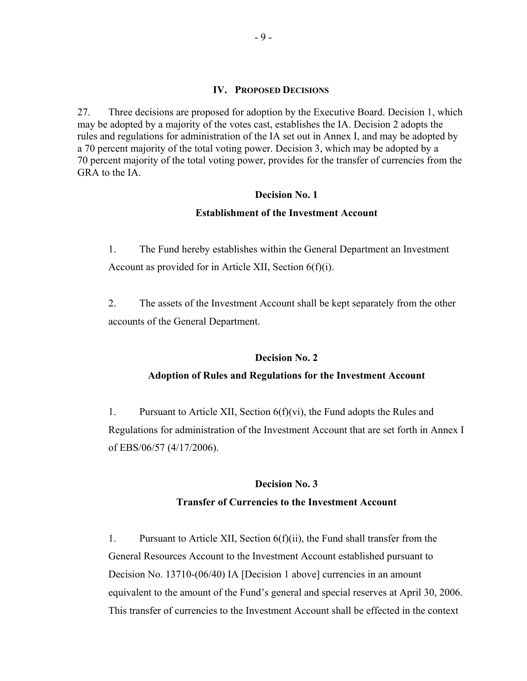#### **IV. PROPOSED DECISIONS**

27. Three decisions are proposed for adoption by the Executive Board. Decision 1, which may be adopted by a majority of the votes cast, establishes the IA. Decision 2 adopts the rules and regulations for administration of the IA set out in Annex I, and may be adopted by a 70 percent majority of the total voting power. Decision 3, which may be adopted by a 70 percent majority of the total voting power, provides for the transfer of currencies from the GRA to the IA.

#### **Decision No. 1**

#### **Establishment of the Investment Account**

1. The Fund hereby establishes within the General Department an Investment Account as provided for in Article XII, Section 6(f)(i).

2. The assets of the Investment Account shall be kept separately from the other accounts of the General Department.

#### **Decision No. 2**

### **Adoption of Rules and Regulations for the Investment Account**

1. Pursuant to Article XII, Section  $6(f)(vi)$ , the Fund adopts the Rules and Regulations for administration of the Investment Account that are set forth in Annex I of EBS/06/57 (4/17/2006).

#### **Decision No. 3**

# **Transfer of Currencies to the Investment Account**

1. Pursuant to Article XII, Section 6(f)(ii), the Fund shall transfer from the General Resources Account to the Investment Account established pursuant to Decision No. 13710-(06/40) IA [Decision 1 above] currencies in an amount equivalent to the amount of the Fund's general and special reserves at April 30, 2006. This transfer of currencies to the Investment Account shall be effected in the context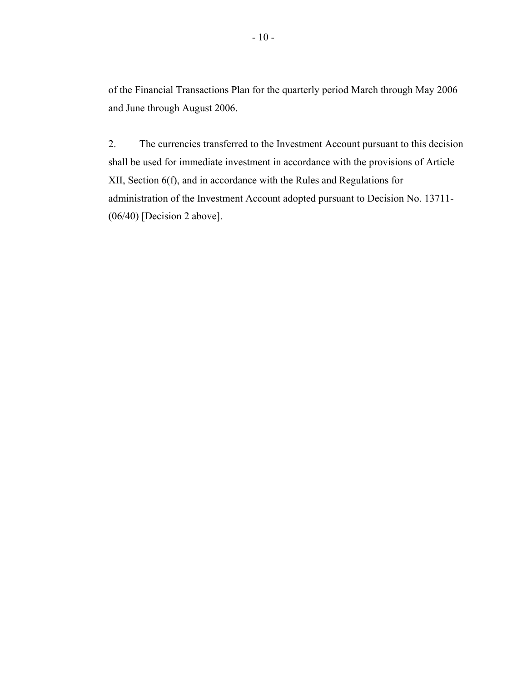of the Financial Transactions Plan for the quarterly period March through May 2006 and June through August 2006.

2. The currencies transferred to the Investment Account pursuant to this decision shall be used for immediate investment in accordance with the provisions of Article XII, Section 6(f), and in accordance with the Rules and Regulations for administration of the Investment Account adopted pursuant to Decision No. 13711- (06/40) [Decision 2 above].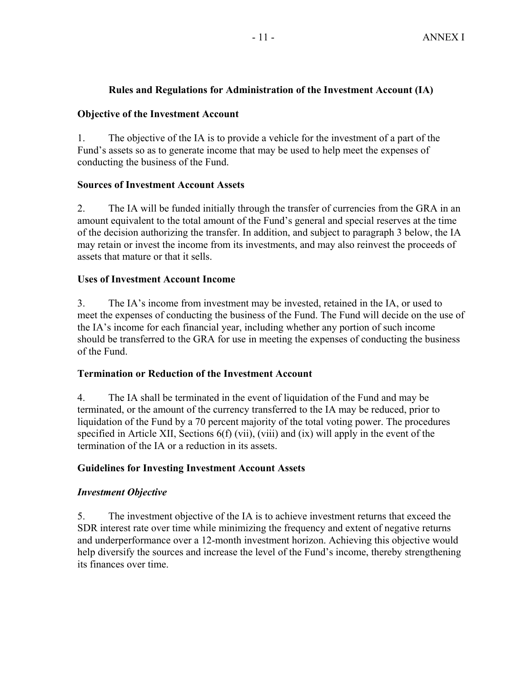# **Rules and Regulations for Administration of the Investment Account (IA)**

# **Objective of the Investment Account**

1. The objective of the IA is to provide a vehicle for the investment of a part of the Fund's assets so as to generate income that may be used to help meet the expenses of conducting the business of the Fund.

# **Sources of Investment Account Assets**

2. The IA will be funded initially through the transfer of currencies from the GRA in an amount equivalent to the total amount of the Fund's general and special reserves at the time of the decision authorizing the transfer. In addition, and subject to paragraph 3 below, the IA may retain or invest the income from its investments, and may also reinvest the proceeds of assets that mature or that it sells.

# **Uses of Investment Account Income**

3. The IA's income from investment may be invested, retained in the IA, or used to meet the expenses of conducting the business of the Fund. The Fund will decide on the use of the IA's income for each financial year, including whether any portion of such income should be transferred to the GRA for use in meeting the expenses of conducting the business of the Fund.

# **Termination or Reduction of the Investment Account**

4. The IA shall be terminated in the event of liquidation of the Fund and may be terminated, or the amount of the currency transferred to the IA may be reduced, prior to liquidation of the Fund by a 70 percent majority of the total voting power. The procedures specified in Article XII, Sections 6(f) (vii), (viii) and (ix) will apply in the event of the termination of the IA or a reduction in its assets.

# **Guidelines for Investing Investment Account Assets**

# *Investment Objective*

5. The investment objective of the IA is to achieve investment returns that exceed the SDR interest rate over time while minimizing the frequency and extent of negative returns and underperformance over a 12-month investment horizon. Achieving this objective would help diversify the sources and increase the level of the Fund's income, thereby strengthening its finances over time.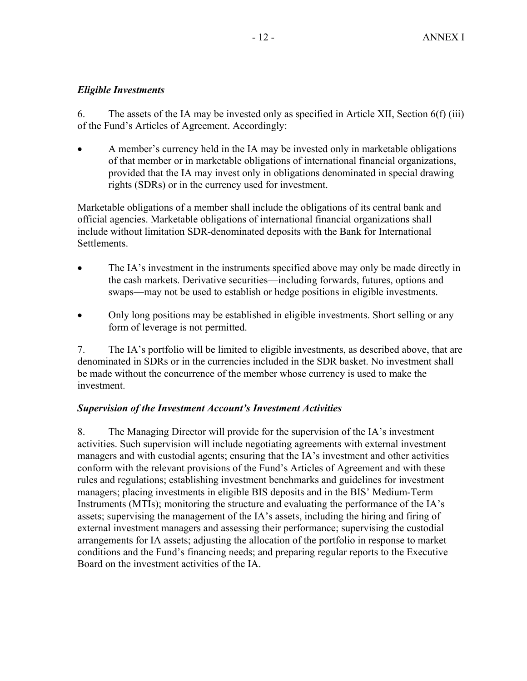# *Eligible Investments*

6. The assets of the IA may be invested only as specified in Article XII, Section 6(f) (iii) of the Fund's Articles of Agreement. Accordingly:

• A member's currency held in the IA may be invested only in marketable obligations of that member or in marketable obligations of international financial organizations, provided that the IA may invest only in obligations denominated in special drawing rights (SDRs) or in the currency used for investment.

Marketable obligations of a member shall include the obligations of its central bank and official agencies. Marketable obligations of international financial organizations shall include without limitation SDR-denominated deposits with the Bank for International Settlements.

- The IA's investment in the instruments specified above may only be made directly in the cash markets. Derivative securities—including forwards, futures, options and swaps—may not be used to establish or hedge positions in eligible investments.
- Only long positions may be established in eligible investments. Short selling or any form of leverage is not permitted.

7. The IA's portfolio will be limited to eligible investments, as described above, that are denominated in SDRs or in the currencies included in the SDR basket. No investment shall be made without the concurrence of the member whose currency is used to make the investment.

# *Supervision of the Investment Account's Investment Activities*

8. The Managing Director will provide for the supervision of the IA's investment activities. Such supervision will include negotiating agreements with external investment managers and with custodial agents; ensuring that the IA's investment and other activities conform with the relevant provisions of the Fund's Articles of Agreement and with these rules and regulations; establishing investment benchmarks and guidelines for investment managers; placing investments in eligible BIS deposits and in the BIS' Medium-Term Instruments (MTIs); monitoring the structure and evaluating the performance of the IA's assets; supervising the management of the IA's assets, including the hiring and firing of external investment managers and assessing their performance; supervising the custodial arrangements for IA assets; adjusting the allocation of the portfolio in response to market conditions and the Fund's financing needs; and preparing regular reports to the Executive Board on the investment activities of the IA.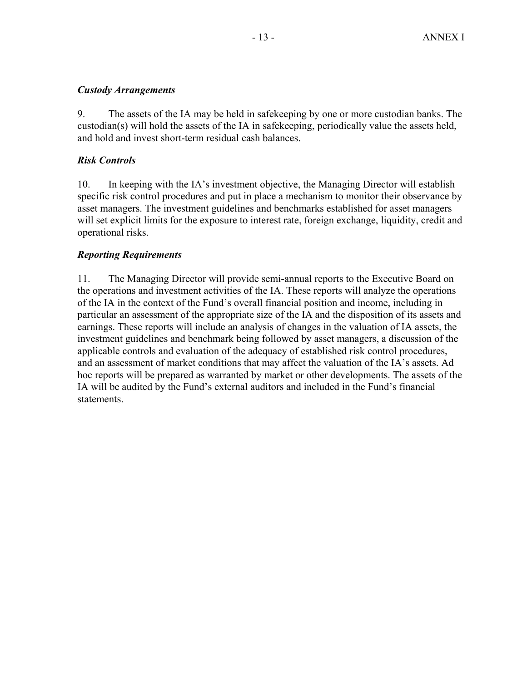# *Custody Arrangements*

9. The assets of the IA may be held in safekeeping by one or more custodian banks. The custodian(s) will hold the assets of the IA in safekeeping, periodically value the assets held, and hold and invest short-term residual cash balances.

# *Risk Controls*

10. In keeping with the IA's investment objective, the Managing Director will establish specific risk control procedures and put in place a mechanism to monitor their observance by asset managers. The investment guidelines and benchmarks established for asset managers will set explicit limits for the exposure to interest rate, foreign exchange, liquidity, credit and operational risks.

# *Reporting Requirements*

11. The Managing Director will provide semi-annual reports to the Executive Board on the operations and investment activities of the IA. These reports will analyze the operations of the IA in the context of the Fund's overall financial position and income, including in particular an assessment of the appropriate size of the IA and the disposition of its assets and earnings. These reports will include an analysis of changes in the valuation of IA assets, the investment guidelines and benchmark being followed by asset managers, a discussion of the applicable controls and evaluation of the adequacy of established risk control procedures, and an assessment of market conditions that may affect the valuation of the IA's assets. Ad hoc reports will be prepared as warranted by market or other developments. The assets of the IA will be audited by the Fund's external auditors and included in the Fund's financial **statements**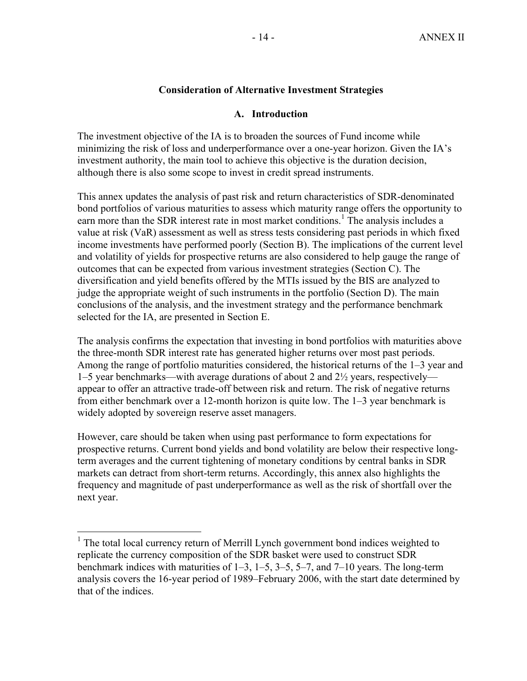### **Consideration of Alternative Investment Strategies**

#### **A. Introduction**

The investment objective of the IA is to broaden the sources of Fund income while minimizing the risk of loss and underperformance over a one-year horizon. Given the IA's investment authority, the main tool to achieve this objective is the duration decision, although there is also some scope to invest in credit spread instruments.

This annex updates the analysis of past risk and return characteristics of SDR-denominated bond portfolios of various maturities to assess which maturity range offers the opportunity to earn more than the SDR interest rate in most market conditions.<sup>1</sup> The analysis includes a value at risk (VaR) assessment as well as stress tests considering past periods in which fixed income investments have performed poorly (Section B). The implications of the current level and volatility of yields for prospective returns are also considered to help gauge the range of outcomes that can be expected from various investment strategies (Section C). The diversification and yield benefits offered by the MTIs issued by the BIS are analyzed to judge the appropriate weight of such instruments in the portfolio (Section D). The main conclusions of the analysis, and the investment strategy and the performance benchmark selected for the IA, are presented in Section E.

The analysis confirms the expectation that investing in bond portfolios with maturities above the three-month SDR interest rate has generated higher returns over most past periods. Among the range of portfolio maturities considered, the historical returns of the 1–3 year and 1–5 year benchmarks—with average durations of about 2 and 2½ years, respectively appear to offer an attractive trade-off between risk and return. The risk of negative returns from either benchmark over a 12-month horizon is quite low. The 1–3 year benchmark is widely adopted by sovereign reserve asset managers.

However, care should be taken when using past performance to form expectations for prospective returns. Current bond yields and bond volatility are below their respective longterm averages and the current tightening of monetary conditions by central banks in SDR markets can detract from short-term returns. Accordingly, this annex also highlights the frequency and magnitude of past underperformance as well as the risk of shortfall over the next year.

<sup>&</sup>lt;sup>1</sup> The total local currency return of Merrill Lynch government bond indices weighted to replicate the currency composition of the SDR basket were used to construct SDR benchmark indices with maturities of 1–3, 1–5, 3–5, 5–7, and 7–10 years. The long-term analysis covers the 16-year period of 1989–February 2006, with the start date determined by that of the indices.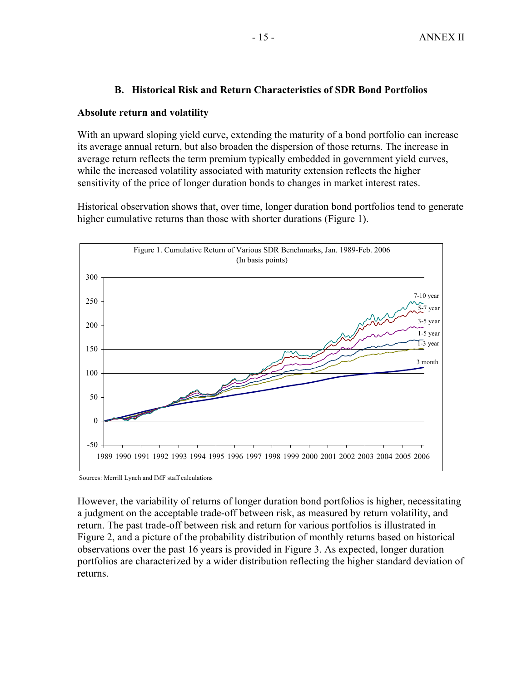### **B. Historical Risk and Return Characteristics of SDR Bond Portfolios**

#### **Absolute return and volatility**

With an upward sloping yield curve, extending the maturity of a bond portfolio can increase its average annual return, but also broaden the dispersion of those returns. The increase in average return reflects the term premium typically embedded in government yield curves, while the increased volatility associated with maturity extension reflects the higher sensitivity of the price of longer duration bonds to changes in market interest rates.

Historical observation shows that, over time, longer duration bond portfolios tend to generate higher cumulative returns than those with shorter durations (Figure 1).



Sources: Merrill Lynch and IMF staff calculations

However, the variability of returns of longer duration bond portfolios is higher, necessitating a judgment on the acceptable trade-off between risk, as measured by return volatility, and return. The past trade-off between risk and return for various portfolios is illustrated in Figure 2, and a picture of the probability distribution of monthly returns based on historical observations over the past 16 years is provided in Figure 3. As expected, longer duration portfolios are characterized by a wider distribution reflecting the higher standard deviation of returns.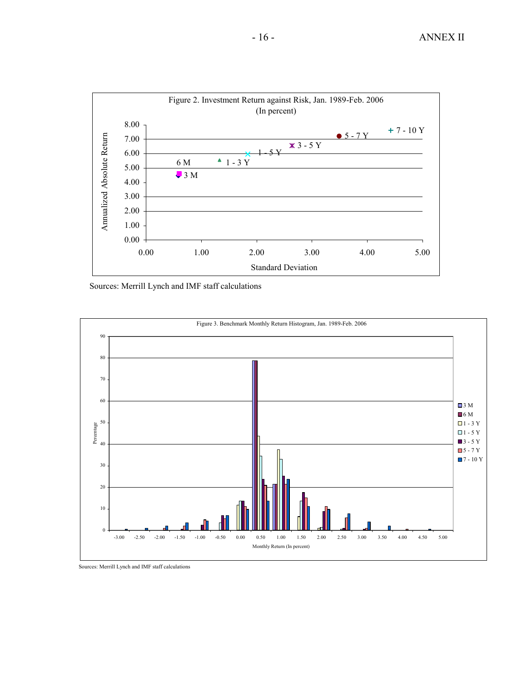

Sources: Merrill Lynch and IMF staff calculations



Sources: Merrill Lynch and IMF staff calculations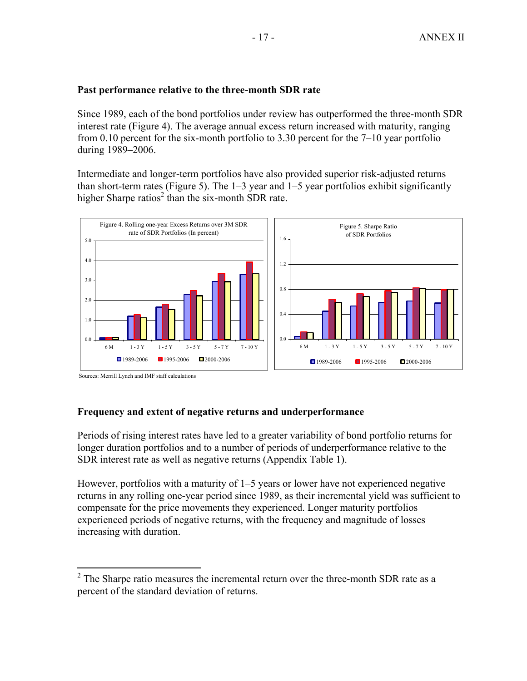#### **Past performance relative to the three-month SDR rate**

Since 1989, each of the bond portfolios under review has outperformed the three-month SDR interest rate (Figure 4). The average annual excess return increased with maturity, ranging from 0.10 percent for the six-month portfolio to 3.30 percent for the 7–10 year portfolio during 1989–2006.

Intermediate and longer-term portfolios have also provided superior risk-adjusted returns than short-term rates (Figure 5). The  $1-3$  year and  $1-5$  year portfolios exhibit significantly higher Sharpe ratios<sup>2</sup> than the six-month SDR rate.



Sources: Merrill Lynch and IMF staff calculations

#### **Frequency and extent of negative returns and underperformance**

Periods of rising interest rates have led to a greater variability of bond portfolio returns for longer duration portfolios and to a number of periods of underperformance relative to the SDR interest rate as well as negative returns (Appendix Table 1).

However, portfolios with a maturity of 1–5 years or lower have not experienced negative returns in any rolling one-year period since 1989, as their incremental yield was sufficient to compensate for the price movements they experienced. Longer maturity portfolios experienced periods of negative returns, with the frequency and magnitude of losses increasing with duration.

<sup>&</sup>lt;sup>2</sup> The Sharpe ratio measures the incremental return over the three-month SDR rate as a percent of the standard deviation of returns.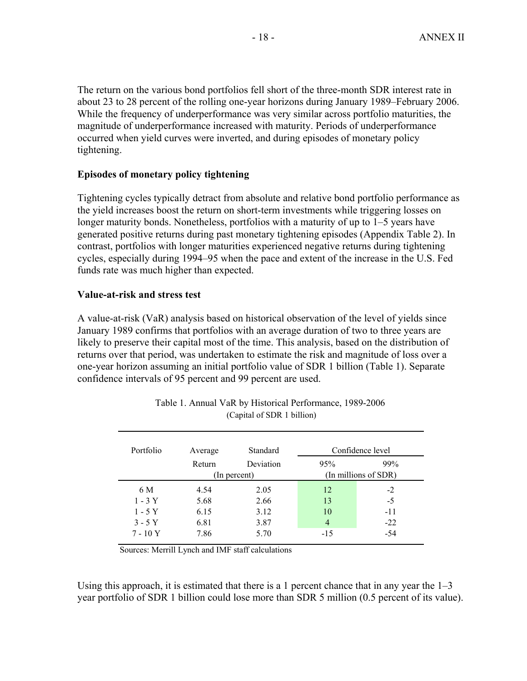The return on the various bond portfolios fell short of the three-month SDR interest rate in about 23 to 28 percent of the rolling one-year horizons during January 1989–February 2006. While the frequency of underperformance was very similar across portfolio maturities, the magnitude of underperformance increased with maturity. Periods of underperformance occurred when yield curves were inverted, and during episodes of monetary policy tightening.

### **Episodes of monetary policy tightening**

Tightening cycles typically detract from absolute and relative bond portfolio performance as the yield increases boost the return on short-term investments while triggering losses on longer maturity bonds. Nonetheless, portfolios with a maturity of up to 1–5 years have generated positive returns during past monetary tightening episodes (Appendix Table 2). In contrast, portfolios with longer maturities experienced negative returns during tightening cycles, especially during 1994–95 when the pace and extent of the increase in the U.S. Fed funds rate was much higher than expected.

### **Value-at-risk and stress test**

A value-at-risk (VaR) analysis based on historical observation of the level of yields since January 1989 confirms that portfolios with an average duration of two to three years are likely to preserve their capital most of the time. This analysis, based on the distribution of returns over that period, was undertaken to estimate the risk and magnitude of loss over a one-year horizon assuming an initial portfolio value of SDR 1 billion (Table 1). Separate confidence intervals of 95 percent and 99 percent are used.

| Portfolio | Average | Standard     |                | Confidence level     |
|-----------|---------|--------------|----------------|----------------------|
|           | Return  | Deviation    | 95%            | 99%                  |
|           |         | (In percent) |                | (In millions of SDR) |
| 6 M       | 4.54    | 2.05         | 12             | $-2$                 |
| $1 - 3Y$  | 5.68    | 2.66         | 13             | $-5$                 |
| $1 - 5Y$  | 6.15    | 3.12         | 10             | -11                  |
| $3 - 5Y$  | 6.81    | 3.87         | $\overline{4}$ | $-22$                |
| $7 - 10Y$ | 7.86    | 5.70         | $-15$          | -54                  |

| Table 1. Annual VaR by Historical Performance, 1989-2006 |  |
|----------------------------------------------------------|--|
| (Capital of SDR 1 billion)                               |  |

Sources: Merrill Lynch and IMF staff calculations

Using this approach, it is estimated that there is a 1 percent chance that in any year the  $1-3$ year portfolio of SDR 1 billion could lose more than SDR 5 million (0.5 percent of its value).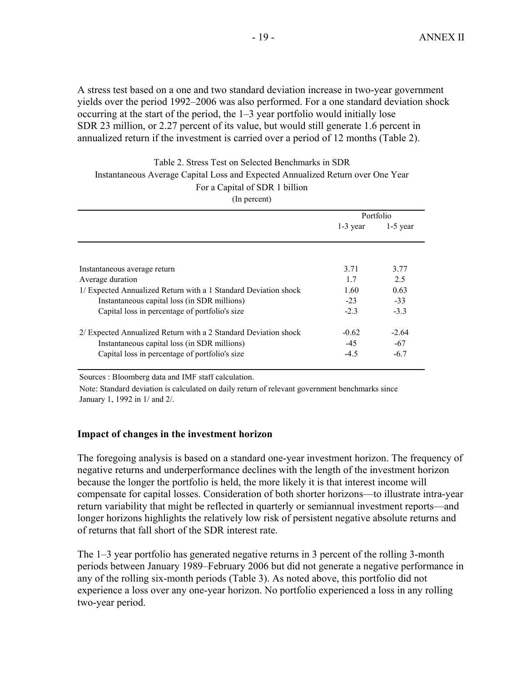A stress test based on a one and two standard deviation increase in two-year government yields over the period 1992–2006 was also performed. For a one standard deviation shock occurring at the start of the period, the 1–3 year portfolio would initially lose SDR 23 million, or 2.27 percent of its value, but would still generate 1.6 percent in annualized return if the investment is carried over a period of 12 months (Table 2).

| Table 2. Stress Test on Selected Benchmarks in SDR                              |
|---------------------------------------------------------------------------------|
| Instantaneous Average Capital Loss and Expected Annualized Return over One Year |
| For a Capital of SDR 1 billion                                                  |

(In percent)

|                                                                 | Portfolio  |            |
|-----------------------------------------------------------------|------------|------------|
|                                                                 | $1-3$ year | $1-5$ year |
|                                                                 |            |            |
| Instantaneous average return                                    | 3.71       | 3.77       |
| Average duration                                                | 17         | 2.5        |
| 1/ Expected Annualized Return with a 1 Standard Deviation shock | 1.60       | 0.63       |
| Instantaneous capital loss (in SDR millions)                    | $-23$      | $-33$      |
| Capital loss in percentage of portfolio's size                  | $-2.3$     | $-3.3$     |
| 2/ Expected Annualized Return with a 2 Standard Deviation shock | $-0.62$    | $-2.64$    |
| Instantaneous capital loss (in SDR millions)                    | $-45$      | $-67$      |
| Capital loss in percentage of portfolio's size                  | $-4.5$     | $-6.7$     |

Sources : Bloomberg data and IMF staff calculation.

Note: Standard deviation is calculated on daily return of relevant government benchmarks since January 1, 1992 in 1/ and 2/.

#### **Impact of changes in the investment horizon**

The foregoing analysis is based on a standard one-year investment horizon. The frequency of negative returns and underperformance declines with the length of the investment horizon because the longer the portfolio is held, the more likely it is that interest income will compensate for capital losses. Consideration of both shorter horizons—to illustrate intra-year return variability that might be reflected in quarterly or semiannual investment reports—and longer horizons highlights the relatively low risk of persistent negative absolute returns and of returns that fall short of the SDR interest rate.

The 1–3 year portfolio has generated negative returns in 3 percent of the rolling 3-month periods between January 1989–February 2006 but did not generate a negative performance in any of the rolling six-month periods (Table 3). As noted above, this portfolio did not experience a loss over any one-year horizon. No portfolio experienced a loss in any rolling two-year period.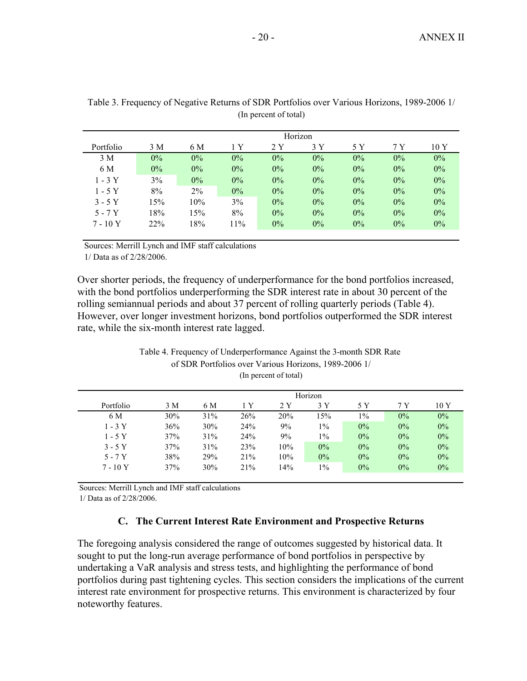|           |       |       |       |       | Horizon |       |       |       |
|-----------|-------|-------|-------|-------|---------|-------|-------|-------|
| Portfolio | 3 M   | 6 M   | 1 Y   | 2Y    | 3Y      | 5 Y   | 7 Y   | 10 Y  |
| 3 M       | $0\%$ | $0\%$ | $0\%$ | $0\%$ | $0\%$   | $0\%$ | $0\%$ | $0\%$ |
| 6 M       | $0\%$ | $0\%$ | $0\%$ | $0\%$ | $0\%$   | $0\%$ | $0\%$ | $0\%$ |
| $1 - 3Y$  | 3%    | $0\%$ | $0\%$ | $0\%$ | $0\%$   | $0\%$ | $0\%$ | $0\%$ |
| $1 - 5Y$  | 8%    | $2\%$ | $0\%$ | $0\%$ | $0\%$   | $0\%$ | $0\%$ | $0\%$ |
| $3 - 5Y$  | 15%   | 10%   | 3%    | $0\%$ | $0\%$   | $0\%$ | $0\%$ | $0\%$ |
| $5 - 7Y$  | 18%   | 15%   | 8%    | $0\%$ | $0\%$   | $0\%$ | $0\%$ | $0\%$ |
| $7 - 10Y$ | 22%   | 18%   | 11%   | $0\%$ | $0\%$   | $0\%$ | $0\%$ | $0\%$ |
|           |       |       |       |       |         |       |       |       |

(In percent of total) Table 3. Frequency of Negative Returns of SDR Portfolios over Various Horizons, 1989-2006 1/

Sources: Merrill Lynch and IMF staff calculations

1/ Data as of 2/28/2006.

Over shorter periods, the frequency of underperformance for the bond portfolios increased, with the bond portfolios underperforming the SDR interest rate in about 30 percent of the rolling semiannual periods and about 37 percent of rolling quarterly periods (Table 4). However, over longer investment horizons, bond portfolios outperformed the SDR interest rate, while the six-month interest rate lagged.

|           |     |     |     |     | Horizon |       |       |       |
|-----------|-----|-----|-----|-----|---------|-------|-------|-------|
| Portfolio | 3 M | 6 M | 1 Y | 2Y  | 3 Y     | 5 Y   | 7 Y   | 10 Y  |
| 6 M       | 30% | 31% | 26% | 20% | $5\%$   | $1\%$ | $0\%$ | $0\%$ |
| $1 - 3Y$  | 36% | 30% | 24% | 9%  | $1\%$   | $0\%$ | $0\%$ | $0\%$ |
| $1 - 5Y$  | 37% | 31% | 24% | 9%  | $1\%$   | $0\%$ | $0\%$ | $0\%$ |
| $3 - 5Y$  | 37% | 31% | 23% | 10% | $0\%$   | $0\%$ | $0\%$ | $0\%$ |
| $5 - 7Y$  | 38% | 29% | 21% | 10% | $0\%$   | $0\%$ | $0\%$ | $0\%$ |
| $7 - 10Y$ | 37% | 30% | 21% | 14% | $1\%$   | $0\%$ | $0\%$ | 0%    |

#### of SDR Portfolios over Various Horizons, 1989-2006 1/ (In percent of total) Table 4. Frequency of Underperformance Against the 3-month SDR Rate

Sources: Merrill Lynch and IMF staff calculations

1/ Data as of 2/28/2006.

# **C. The Current Interest Rate Environment and Prospective Returns**

The foregoing analysis considered the range of outcomes suggested by historical data. It sought to put the long-run average performance of bond portfolios in perspective by undertaking a VaR analysis and stress tests, and highlighting the performance of bond portfolios during past tightening cycles. This section considers the implications of the current interest rate environment for prospective returns. This environment is characterized by four noteworthy features.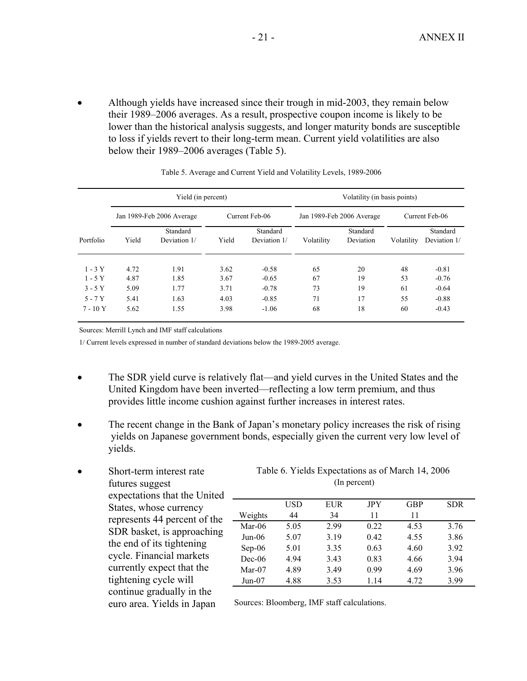• Although yields have increased since their trough in mid-2003, they remain below their 1989–2006 averages. As a result, prospective coupon income is likely to be lower than the historical analysis suggests, and longer maturity bonds are susceptible to loss if yields revert to their long-term mean. Current yield volatilities are also below their 1989–2006 averages (Table 5).

|                       |              | Yield (in percent)        |              |                          |            | Volatility (in basis points) |            |                          |
|-----------------------|--------------|---------------------------|--------------|--------------------------|------------|------------------------------|------------|--------------------------|
|                       |              | Jan 1989-Feb 2006 Average |              | Current Feb-06           |            | Jan 1989-Feb 2006 Average    |            | Current Feb-06           |
| Portfolio             | Yield        | Standard<br>Deviation 1/  | Yield        | Standard<br>Deviation 1/ | Volatility | Standard<br>Deviation        | Volatility | Standard<br>Deviation 1/ |
| $1 - 3Y$<br>$1 - 5Y$  | 4.72<br>4.87 | 1.91<br>1.85              | 3.62<br>3.67 | $-0.58$<br>$-0.65$       | 65<br>67   | 20<br>19                     | 48<br>53   | $-0.81$<br>$-0.76$       |
| $3 - 5Y$              | 5.09         | 1.77                      | 3.71         | $-0.78$                  | 73         | 19                           | 61         | $-0.64$                  |
| $5 - 7Y$<br>$7 - 10Y$ | 5.41<br>5.62 | 1.63<br>1.55              | 4.03<br>3.98 | $-0.85$<br>$-1.06$       | 71<br>68   | 17<br>18                     | 55<br>60   | $-0.88$<br>$-0.43$       |

Table 5. Average and Current Yield and Volatility Levels, 1989-2006

Sources: Merrill Lynch and IMF staff calculations

1/ Current levels expressed in number of standard deviations below the 1989-2005 average.

- The SDR yield curve is relatively flat—and yield curves in the United States and the United Kingdom have been inverted—reflecting a low term premium, and thus provides little income cushion against further increases in interest rates.
- The recent change in the Bank of Japan's monetary policy increases the risk of rising yields on Japanese government bonds, especially given the current very low level of yields.
- Short-term interest rate futures suggest expectations that the United States, whose currency represents 44 percent of the SDR basket, is approaching the end of its tightening cycle. Financial markets currently expect that the tightening cycle will continue gradually in the euro area. Yields in Japan

(In percent) Table 6. Yields Expectations as of March 14, 2006

|           | <b>USD</b> | EUR  | <b>JPY</b> | <b>GBP</b> | <b>SDR</b> |
|-----------|------------|------|------------|------------|------------|
| Weights   | 44         | 34   | 11         | 11         |            |
| Mar- $06$ | 5.05       | 2.99 | 0.22       | 4.53       | 3.76       |
| $Jun-06$  | 5.07       | 3.19 | 0.42       | 4.55       | 3.86       |
| $Sep-06$  | 5.01       | 3.35 | 0.63       | 4.60       | 3.92       |
| $Dec-06$  | 4.94       | 3.43 | 0.83       | 4.66       | 3.94       |
| Mar- $07$ | 4.89       | 3.49 | 0.99       | 4.69       | 3.96       |
| $Jun-07$  | 4.88       | 3.53 | 114        | 4.72       | 3.99       |

Sources: Bloomberg, IMF staff calculations.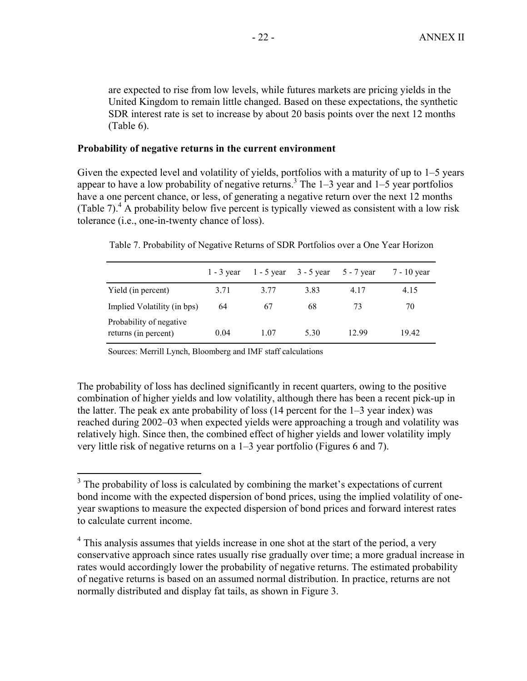are expected to rise from low levels, while futures markets are pricing yields in the United Kingdom to remain little changed. Based on these expectations, the synthetic SDR interest rate is set to increase by about 20 basis points over the next 12 months (Table 6).

#### **Probability of negative returns in the current environment**

Given the expected level and volatility of yields, portfolios with a maturity of up to 1–5 years appear to have a low probability of negative returns.<sup>3</sup> The  $1-3$  year and  $1-5$  year portfolios have a one percent chance, or less, of generating a negative return over the next 12 months (Table 7). $^{4}$  A probability below five percent is typically viewed as consistent with a low risk tolerance (i.e., one-in-twenty chance of loss).

|                                                 |      | 1 - 3 year 1 - 5 year 3 - 5 year |      | $5 - 7$ year | 7 - 10 year |
|-------------------------------------------------|------|----------------------------------|------|--------------|-------------|
| Yield (in percent)                              | 3.71 | 3.77                             | 3.83 | 4.17         | 4.15        |
| Implied Volatility (in bps)                     | 64   | 67                               | 68   | 73           | 70          |
| Probability of negative<br>returns (in percent) | 0.04 | 1.07                             | 5.30 | 12.99        | 19.42       |

Table 7. Probability of Negative Returns of SDR Portfolios over a One Year Horizon

Sources: Merrill Lynch, Bloomberg and IMF staff calculations

The probability of loss has declined significantly in recent quarters, owing to the positive combination of higher yields and low volatility, although there has been a recent pick-up in the latter. The peak ex ante probability of loss (14 percent for the 1–3 year index) was reached during 2002–03 when expected yields were approaching a trough and volatility was relatively high. Since then, the combined effect of higher yields and lower volatility imply very little risk of negative returns on a 1–3 year portfolio (Figures 6 and 7).

<sup>&</sup>lt;sup>3</sup> The probability of loss is calculated by combining the market's expectations of current bond income with the expected dispersion of bond prices, using the implied volatility of oneyear swaptions to measure the expected dispersion of bond prices and forward interest rates to calculate current income.

<sup>&</sup>lt;sup>4</sup> This analysis assumes that yields increase in one shot at the start of the period, a very conservative approach since rates usually rise gradually over time; a more gradual increase in rates would accordingly lower the probability of negative returns. The estimated probability of negative returns is based on an assumed normal distribution. In practice, returns are not normally distributed and display fat tails, as shown in Figure 3.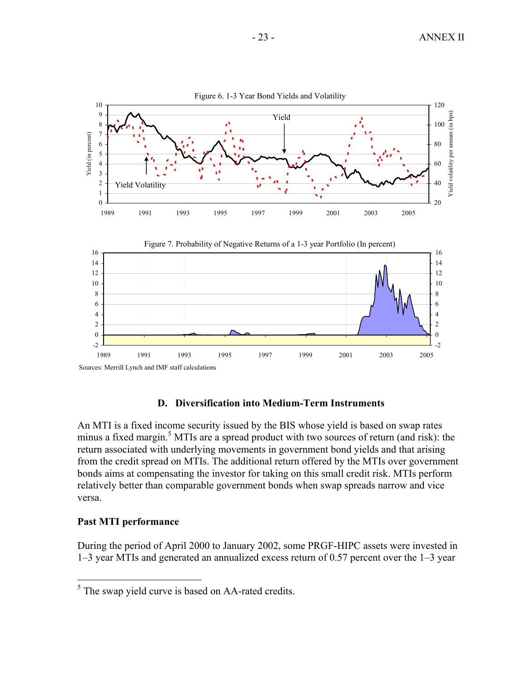

#### **D. Diversification into Medium-Term Instruments**

An MTI is a fixed income security issued by the BIS whose yield is based on swap rates minus a fixed margin.<sup>5</sup> MTIs are a spread product with two sources of return (and risk): the return associated with underlying movements in government bond yields and that arising from the credit spread on MTIs. The additional return offered by the MTIs over government bonds aims at compensating the investor for taking on this small credit risk. MTIs perform relatively better than comparable government bonds when swap spreads narrow and vice versa.

# **Past MTI performance**

During the period of April 2000 to January 2002, some PRGF-HIPC assets were invested in 1–3 year MTIs and generated an annualized excess return of 0.57 percent over the 1–3 year

<sup>&</sup>lt;sup>5</sup> The swap yield curve is based on AA-rated credits.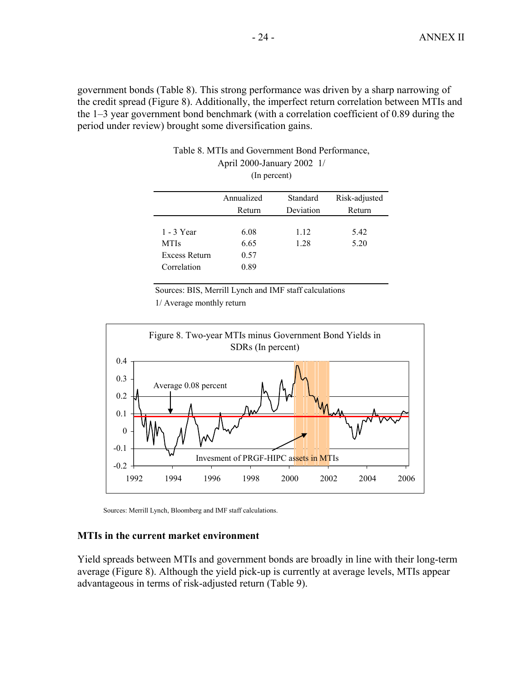government bonds (Table 8). This strong performance was driven by a sharp narrowing of the credit spread (Figure 8). Additionally, the imperfect return correlation between MTIs and the 1–3 year government bond benchmark (with a correlation coefficient of 0.89 during the period under review) brought some diversification gains.

|               | (III)      |           |               |
|---------------|------------|-----------|---------------|
|               | Annualized | Standard  | Risk-adjusted |
|               | Return     | Deviation | Return        |
|               |            |           |               |
| $1 - 3$ Year  | 6.08       | 1.12      | 5.42          |
| <b>MTIs</b>   | 6.65       | 1.28      | 5.20          |
| Excess Return | 0.57       |           |               |
| Correlation   | 0.89       |           |               |

#### (In percent) Table 8. MTIs and Government Bond Performance, April 2000-January 2002 1/

Sources: BIS, Merrill Lynch and IMF staff calculations 1/ Average monthly return



Sources: Merrill Lynch, Bloomberg and IMF staff calculations.

#### **MTIs in the current market environment**

Yield spreads between MTIs and government bonds are broadly in line with their long-term average (Figure 8). Although the yield pick-up is currently at average levels, MTIs appear advantageous in terms of risk-adjusted return (Table 9).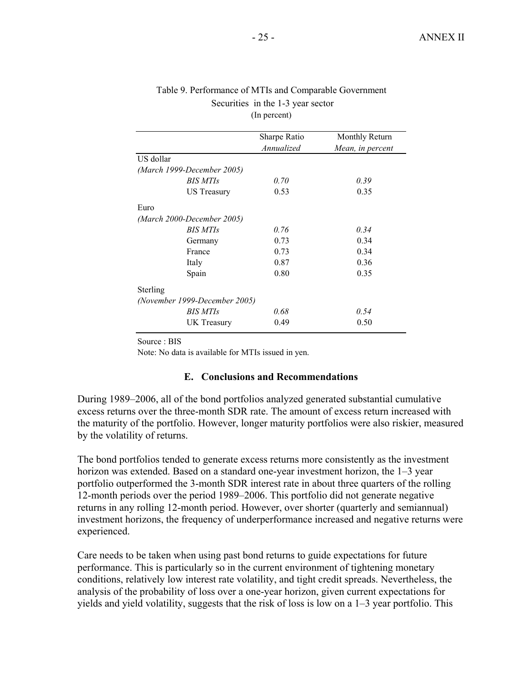|           |                               | Sharpe Ratio | Monthly Return   |
|-----------|-------------------------------|--------------|------------------|
|           |                               | Annualized   | Mean, in percent |
| US dollar |                               |              |                  |
|           | (March 1999-December 2005)    |              |                  |
|           | <b>BIS MTIs</b>               | 0.70         | 0.39             |
|           | US Treasury                   | 0.53         | 0.35             |
| Euro      |                               |              |                  |
|           | (March 2000-December 2005)    |              |                  |
|           | <b>BIS MTIs</b>               | 0.76         | 0.34             |
|           | Germany                       | 0.73         | 0.34             |
|           | France                        | 0.73         | 0.34             |
|           | Italy                         | 0.87         | 0.36             |
|           | Spain                         | 0.80         | 0.35             |
| Sterling  |                               |              |                  |
|           | (November 1999-December 2005) |              |                  |
|           | BIS MTIs                      | 0.68         | 0.54             |
|           | UK Treasury                   | 0.49         | 0.50             |

#### Table 9. Performance of MTIs and Comparable Government Securities in the 1-3 year sector (In percent)

Source : BIS

Note: No data is available for MTIs issued in yen.

#### **E. Conclusions and Recommendations**

During 1989–2006, all of the bond portfolios analyzed generated substantial cumulative excess returns over the three-month SDR rate. The amount of excess return increased with the maturity of the portfolio. However, longer maturity portfolios were also riskier, measured by the volatility of returns.

The bond portfolios tended to generate excess returns more consistently as the investment horizon was extended. Based on a standard one-year investment horizon, the 1–3 year portfolio outperformed the 3-month SDR interest rate in about three quarters of the rolling 12-month periods over the period 1989–2006. This portfolio did not generate negative returns in any rolling 12-month period. However, over shorter (quarterly and semiannual) investment horizons, the frequency of underperformance increased and negative returns were experienced.

Care needs to be taken when using past bond returns to guide expectations for future performance. This is particularly so in the current environment of tightening monetary conditions, relatively low interest rate volatility, and tight credit spreads. Nevertheless, the analysis of the probability of loss over a one-year horizon, given current expectations for yields and yield volatility, suggests that the risk of loss is low on a 1–3 year portfolio. This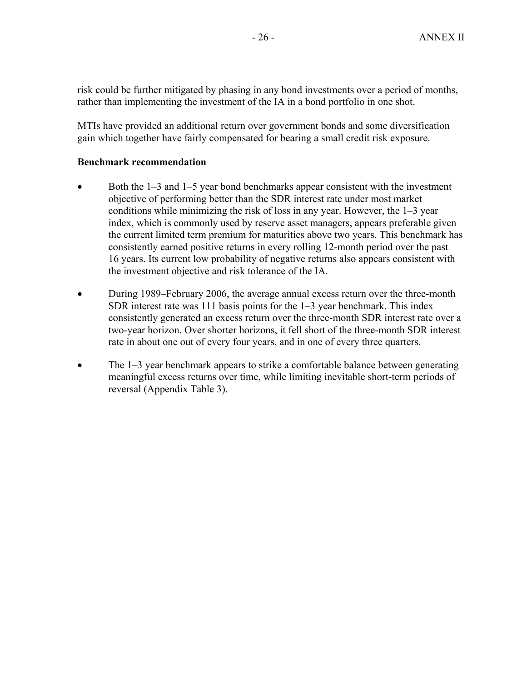risk could be further mitigated by phasing in any bond investments over a period of months, rather than implementing the investment of the IA in a bond portfolio in one shot.

MTIs have provided an additional return over government bonds and some diversification gain which together have fairly compensated for bearing a small credit risk exposure.

### **Benchmark recommendation**

- Both the 1–3 and 1–5 year bond benchmarks appear consistent with the investment objective of performing better than the SDR interest rate under most market conditions while minimizing the risk of loss in any year. However, the 1–3 year index, which is commonly used by reserve asset managers, appears preferable given the current limited term premium for maturities above two years. This benchmark has consistently earned positive returns in every rolling 12-month period over the past 16 years. Its current low probability of negative returns also appears consistent with the investment objective and risk tolerance of the IA.
- During 1989–February 2006, the average annual excess return over the three-month SDR interest rate was 111 basis points for the 1–3 year benchmark. This index consistently generated an excess return over the three-month SDR interest rate over a two-year horizon. Over shorter horizons, it fell short of the three-month SDR interest rate in about one out of every four years, and in one of every three quarters.
- The 1–3 year benchmark appears to strike a comfortable balance between generating meaningful excess returns over time, while limiting inevitable short-term periods of reversal (Appendix Table 3).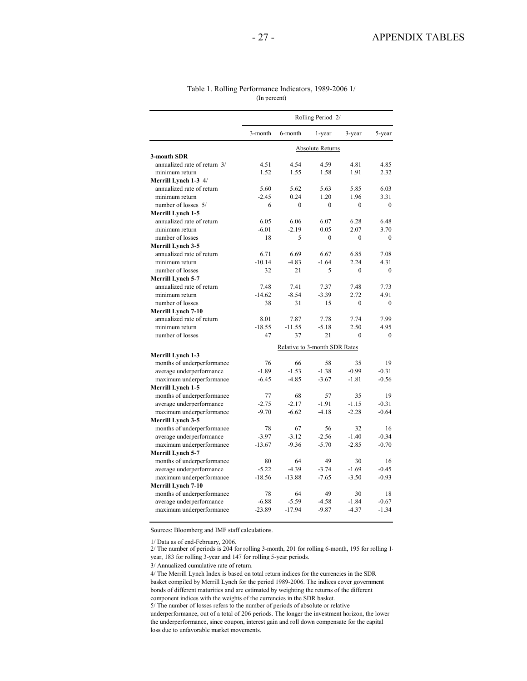|                              |          |                               | Rolling Period 2/ |          |              |
|------------------------------|----------|-------------------------------|-------------------|----------|--------------|
|                              | 3-month  | 6-month                       | 1-year            | 3-year   | 5-year       |
|                              |          |                               | Absolute Returns  |          |              |
| 3-month SDR                  |          |                               |                   |          |              |
| annualized rate of return 3/ | 4.51     | 4.54                          | 4.59              | 4.81     | 4.85         |
| minimum return               | 1.52     | 1.55                          | 1.58              | 1.91     | 2.32         |
| Merrill Lynch 1-3 4/         |          |                               |                   |          |              |
| annualized rate of return    | 5.60     | 5.62                          | 5.63              | 5.85     | 6.03         |
| minimum return               | $-2.45$  | 0.24                          | 1.20              | 1.96     | 3.31         |
| number of losses 5/          | 6        | $\theta$                      | $\theta$          | $\theta$ | $\theta$     |
| Merrill Lynch 1-5            |          |                               |                   |          |              |
| annualized rate of return    | 6.05     | 6.06                          | 6.07              | 6.28     | 6.48         |
| minimum return               | $-6.01$  | $-2.19$                       | 0.05              | 2.07     | 3.70         |
| number of losses             | 18       | 5                             | $\theta$          | $\theta$ | $\Omega$     |
| Merrill Lynch 3-5            |          |                               |                   |          |              |
| annualized rate of return    | 6.71     | 6.69                          | 6.67              | 6.85     | 7.08         |
| minimum return               | $-10.14$ | $-4.83$                       | $-1.64$           | 2.24     | 4.31         |
| number of losses             | 32       | 21                            | 5                 | $\theta$ | $\Omega$     |
| <b>Merrill Lynch 5-7</b>     |          |                               |                   |          |              |
| annualized rate of return    | 7.48     | 7.41                          | 7.37              | 7.48     | 7.73         |
| minimum return               | $-14.62$ | $-8.54$                       | $-3.39$           | 2.72     | 4.91         |
| number of losses             | 38       | 31                            | 15                | $\theta$ | $\Omega$     |
| <b>Merrill Lynch 7-10</b>    |          |                               |                   |          |              |
| annualized rate of return    | 8.01     | 7.87                          | 7.78              | 7.74     | 7.99         |
| minimum return               | $-18.55$ | $-11.55$                      | $-5.18$           | 2.50     | 4.95         |
| number of losses             | 47       | 37                            | 21                | $\theta$ | $\mathbf{0}$ |
|                              |          |                               |                   |          |              |
|                              |          | Relative to 3-month SDR Rates |                   |          |              |
| <b>Merrill Lynch 1-3</b>     |          |                               |                   |          |              |
| months of underperformance   | 76       | 66                            | 58                | 35       | 19           |
| average underperformance     | $-1.89$  | $-1.53$                       | $-1.38$           | $-0.99$  | $-0.31$      |
| maximum underperformance     | $-6.45$  | $-4.85$                       | $-3.67$           | $-1.81$  | $-0.56$      |
| Merrill Lynch 1-5            |          |                               |                   |          |              |
| months of underperformance   | 77       | 68                            | 57                | 35       | 19           |
| average underperformance     | $-2.75$  | $-2.17$                       | $-1.91$           | $-1.15$  | $-0.31$      |
| maximum underperformance     | $-9.70$  | $-6.62$                       | $-4.18$           | $-2.28$  | $-0.64$      |
| Merrill Lynch 3-5            |          |                               |                   |          |              |
| months of underperformance   | 78       | 67                            | 56                | 32       | 16           |
| average underperformance     | $-3.97$  | $-3.12$                       | $-2.56$           | $-1.40$  | $-0.34$      |
| maximum underperformance     | $-13.67$ | $-9.36$                       | $-5.70$           | $-2.85$  | $-0.70$      |
| <b>Merrill Lynch 5-7</b>     |          |                               |                   |          |              |
| months of underperformance   | 80       | 64                            | 49                | 30       | 16           |
| average underperformance     | $-5.22$  | $-4.39$                       | $-3.74$           | $-1.69$  | $-0.45$      |
| maximum underperformance     | $-18.56$ | $-13.88$                      | $-7.65$           | $-3.50$  | $-0.93$      |
| <b>Merrill Lynch 7-10</b>    |          |                               |                   |          |              |
| months of underperformance   | 78       | 64                            | 49                | 30       | 18           |
| average underperformance     | $-6.88$  | $-5.59$                       | $-4.58$           | $-1.84$  | $-0.67$      |
| maximum underperformance     | $-23.89$ | $-17.94$                      | $-9.87$           | $-4.37$  | $-1.34$      |

#### Table 1. Rolling Performance Indicators, 1989-2006 1/ (In percent)

Sources: Bloomberg and IMF staff calculations.

1/ Data as of end-February, 2006. 2/ The number of periods is 204 for rolling 3-month, 201 for rolling 6-month, 195 for rolling 1 year, 183 for rolling 3-year and 147 for rolling 5-year periods.

3/ Annualized cumulative rate of return.

5/ The number of losses refers to the number of periods of absolute or relative 4/ The Merrill Lynch Index is based on total return indices for the currencies in the SDR basket compiled by Merrill Lynch for the period 1989-2006. The indices cover government bonds of different maturities and are estimated by weighting the returns of the different component indices with the weights of the currencies in the SDR basket.

underperformance, out of a total of 206 periods. The longer the investment horizon, the lower the underperformance, since coupon, interest gain and roll down compensate for the capital loss due to unfavorable market movements.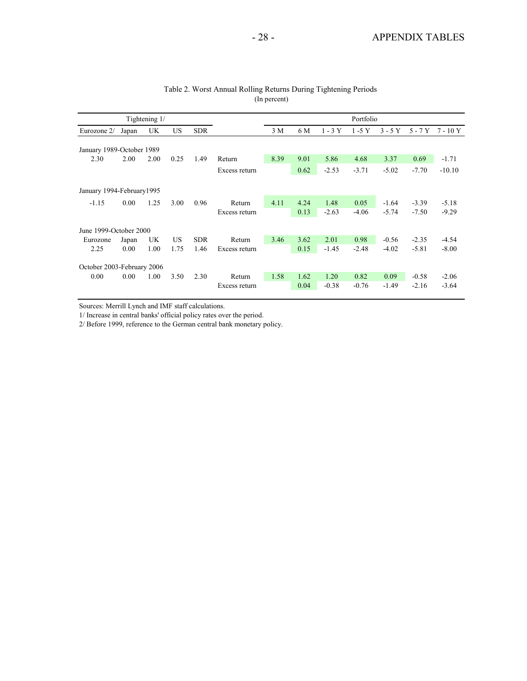|                            |       | Tightening 1/ |      |            |               |      |      |          | Portfolio |          |          |          |
|----------------------------|-------|---------------|------|------------|---------------|------|------|----------|-----------|----------|----------|----------|
| Eurozone 2/                | Japan | UK            | US   | <b>SDR</b> |               | 3 M  | 6 M  | $1 - 3Y$ | $1-5$ Y   | $3 - 5Y$ | $5 - 7Y$ | 7 - 10 Y |
| January 1989-October 1989  |       |               |      |            |               |      |      |          |           |          |          |          |
| 2.30                       | 2.00  | 2.00          | 0.25 | 1.49       | Return        | 8.39 | 9.01 | 5.86     | 4.68      | 3.37     | 0.69     | $-1.71$  |
|                            |       |               |      |            | Excess return |      | 0.62 | $-2.53$  | $-3.71$   | $-5.02$  | $-7.70$  | $-10.10$ |
| January 1994-February1995  |       |               |      |            |               |      |      |          |           |          |          |          |
| $-1.15$                    | 0.00  | 1.25          | 3.00 | 0.96       | Return        | 4.11 | 4.24 | 1.48     | 0.05      | $-1.64$  | $-3.39$  | $-5.18$  |
|                            |       |               |      |            | Excess return |      | 0.13 | $-2.63$  | $-4.06$   | $-5.74$  | $-7.50$  | $-9.29$  |
| June 1999-October 2000     |       |               |      |            |               |      |      |          |           |          |          |          |
| Eurozone                   | Japan | UK            | US.  | <b>SDR</b> | Return        | 3.46 | 3.62 | 2.01     | 0.98      | $-0.56$  | $-2.35$  | $-4.54$  |
| 2.25                       | 0.00  | 1.00          | 1.75 | 1.46       | Excess return |      | 0.15 | $-1.45$  | $-2.48$   | $-4.02$  | $-5.81$  | $-8.00$  |
| October 2003-February 2006 |       |               |      |            |               |      |      |          |           |          |          |          |
| 0.00                       | 0.00  | 1.00          | 3.50 | 2.30       | Return        | 1.58 | 1.62 | 1.20     | 0.82      | 0.09     | $-0.58$  | $-2.06$  |
|                            |       |               |      |            | Excess return |      | 0.04 | $-0.38$  | $-0.76$   | $-1.49$  | $-2.16$  | $-3.64$  |

#### Table 2. Worst Annual Rolling Returns During Tightening Periods (In percent)

Sources: Merrill Lynch and IMF staff calculations.

1/ Increase in central banks' official policy rates over the period.

2/ Before 1999, reference to the German central bank monetary policy.